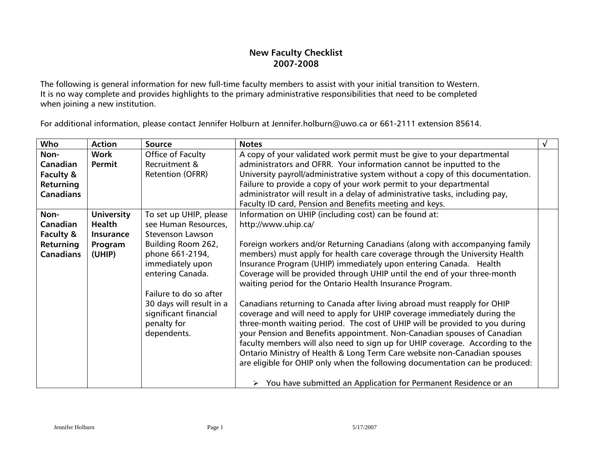## **New Faculty Checklist 2007-2008**

The following is general information for new full-time faculty members to assist with your initial transition to Western. It is no way complete and provides highlights to the primary administrative responsibilities that need to be completed when joining a new institution.

For additional information, please contact Jennifer Holburn at [Jennifer.holburn@uwo.ca](mailto:Jennifer.holburn@uwo.ca) or 661-2111 extension 85614.

| Who              | <b>Action</b>     | <b>Source</b>            | <b>Notes</b>                                                                                                                         |  |
|------------------|-------------------|--------------------------|--------------------------------------------------------------------------------------------------------------------------------------|--|
| Non-             | Work              | Office of Faculty        | A copy of your validated work permit must be give to your departmental                                                               |  |
| Canadian         | Permit            | Recruitment &            | administrators and OFRR. Your information cannot be inputted to the                                                                  |  |
| Faculty &        |                   | Retention (OFRR)         | University payroll/administrative system without a copy of this documentation.                                                       |  |
| Returning        |                   |                          | Failure to provide a copy of your work permit to your departmental                                                                   |  |
| <b>Canadians</b> |                   |                          | administrator will result in a delay of administrative tasks, including pay,                                                         |  |
|                  |                   |                          | Faculty ID card, Pension and Benefits meeting and keys.                                                                              |  |
| Non-             | <b>University</b> | To set up UHIP, please   | Information on UHIP (including cost) can be found at:                                                                                |  |
| Canadian         | Health            | see Human Resources,     | http://www.uhip.ca/                                                                                                                  |  |
| Faculty &        | Insurance         | <b>Stevenson Lawson</b>  |                                                                                                                                      |  |
| Returning        | Program           | Building Room 262,       | Foreign workers and/or Returning Canadians (along with accompanying family                                                           |  |
| <b>Canadians</b> | (UHIP)            | phone 661-2194,          | members) must apply for health care coverage through the University Health                                                           |  |
|                  |                   | immediately upon         | Insurance Program (UHIP) immediately upon entering Canada. Health                                                                    |  |
|                  |                   | entering Canada.         | Coverage will be provided through UHIP until the end of your three-month<br>waiting period for the Ontario Health Insurance Program. |  |
|                  |                   | Failure to do so after   |                                                                                                                                      |  |
|                  |                   | 30 days will result in a | Canadians returning to Canada after living abroad must reapply for OHIP                                                              |  |
|                  |                   | significant financial    | coverage and will need to apply for UHIP coverage immediately during the                                                             |  |
|                  |                   | penalty for              | three-month waiting period. The cost of UHIP will be provided to you during                                                          |  |
|                  |                   | dependents.              | your Pension and Benefits appointment. Non-Canadian spouses of Canadian                                                              |  |
|                  |                   |                          | faculty members will also need to sign up for UHIP coverage. According to the                                                        |  |
|                  |                   |                          | Ontario Ministry of Health & Long Term Care website non-Canadian spouses                                                             |  |
|                  |                   |                          | are eligible for OHIP only when the following documentation can be produced:                                                         |  |
|                  |                   |                          | $\triangleright$ You have submitted an Application for Permanent Residence or an                                                     |  |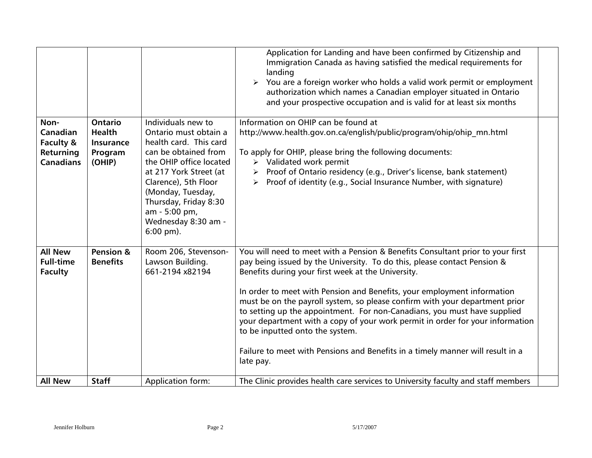|                                                                |                                                                   |                                                                                                                                                                                                                                                                                 | Application for Landing and have been confirmed by Citizenship and<br>Immigration Canada as having satisfied the medical requirements for<br>landing<br>$\triangleright$ You are a foreign worker who holds a valid work permit or employment<br>authorization which names a Canadian employer situated in Ontario<br>and your prospective occupation and is valid for at least six months                                                                                                                                                                                                                                                                                |
|----------------------------------------------------------------|-------------------------------------------------------------------|---------------------------------------------------------------------------------------------------------------------------------------------------------------------------------------------------------------------------------------------------------------------------------|---------------------------------------------------------------------------------------------------------------------------------------------------------------------------------------------------------------------------------------------------------------------------------------------------------------------------------------------------------------------------------------------------------------------------------------------------------------------------------------------------------------------------------------------------------------------------------------------------------------------------------------------------------------------------|
| Non-<br>Canadian<br>Faculty &<br>Returning<br><b>Canadians</b> | <b>Ontario</b><br><b>Health</b><br>Insurance<br>Program<br>(OHIP) | Individuals new to<br>Ontario must obtain a<br>health card. This card<br>can be obtained from<br>the OHIP office located<br>at 217 York Street (at<br>Clarence), 5th Floor<br>(Monday, Tuesday,<br>Thursday, Friday 8:30<br>am - 5:00 pm,<br>Wednesday 8:30 am -<br>$6:00$ pm). | Information on OHIP can be found at<br>http://www.health.gov.on.ca/english/public/program/ohip/ohip mn.html<br>To apply for OHIP, please bring the following documents:<br>$\triangleright$ Validated work permit<br>Proof of Ontario residency (e.g., Driver's license, bank statement)<br>$\blacktriangleright$<br>Proof of identity (e.g., Social Insurance Number, with signature)                                                                                                                                                                                                                                                                                    |
| <b>All New</b><br><b>Full-time</b><br><b>Faculty</b>           | Pension &<br><b>Benefits</b>                                      | Room 206, Stevenson-<br>Lawson Building.<br>661-2194 x82194                                                                                                                                                                                                                     | You will need to meet with a Pension & Benefits Consultant prior to your first<br>pay being issued by the University. To do this, please contact Pension &<br>Benefits during your first week at the University.<br>In order to meet with Pension and Benefits, your employment information<br>must be on the payroll system, so please confirm with your department prior<br>to setting up the appointment. For non-Canadians, you must have supplied<br>your department with a copy of your work permit in order for your information<br>to be inputted onto the system.<br>Failure to meet with Pensions and Benefits in a timely manner will result in a<br>late pay. |
| <b>All New</b>                                                 | <b>Staff</b>                                                      | Application form:                                                                                                                                                                                                                                                               | The Clinic provides health care services to University faculty and staff members                                                                                                                                                                                                                                                                                                                                                                                                                                                                                                                                                                                          |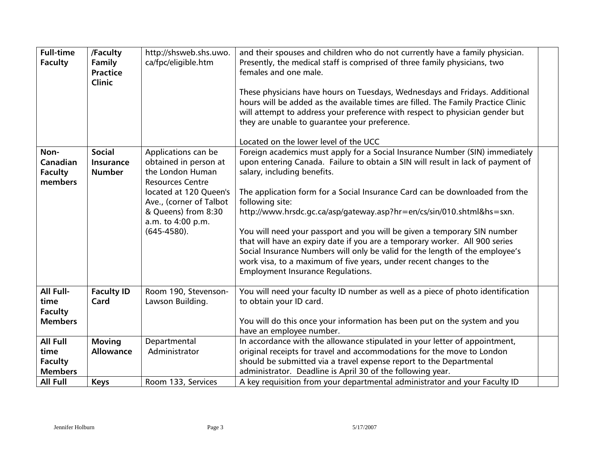| <b>Full-time</b><br><b>Faculty</b>                                             | /Faculty<br>Family<br><b>Practice</b><br><b>Clinic</b> | http://shsweb.shs.uwo.<br>ca/fpc/eligible.htm                                                                                                                                                                  | and their spouses and children who do not currently have a family physician.<br>Presently, the medical staff is comprised of three family physicians, two<br>females and one male.<br>These physicians have hours on Tuesdays, Wednesdays and Fridays. Additional<br>hours will be added as the available times are filled. The Family Practice Clinic<br>will attempt to address your preference with respect to physician gender but<br>they are unable to guarantee your preference.<br>Located on the lower level of the UCC                                                                                                                                                                                                       |
|--------------------------------------------------------------------------------|--------------------------------------------------------|----------------------------------------------------------------------------------------------------------------------------------------------------------------------------------------------------------------|----------------------------------------------------------------------------------------------------------------------------------------------------------------------------------------------------------------------------------------------------------------------------------------------------------------------------------------------------------------------------------------------------------------------------------------------------------------------------------------------------------------------------------------------------------------------------------------------------------------------------------------------------------------------------------------------------------------------------------------|
| Non-<br>Canadian<br><b>Faculty</b><br>members                                  | <b>Social</b><br><b>Insurance</b><br><b>Number</b>     | Applications can be<br>obtained in person at<br>the London Human<br><b>Resources Centre</b><br>located at 120 Queen's<br>Ave., (corner of Talbot<br>& Queens) from 8:30<br>a.m. to 4:00 p.m.<br>$(645-4580)$ . | Foreign academics must apply for a Social Insurance Number (SIN) immediately<br>upon entering Canada. Failure to obtain a SIN will result in lack of payment of<br>salary, including benefits.<br>The application form for a Social Insurance Card can be downloaded from the<br>following site:<br>http://www.hrsdc.gc.ca/asp/gateway.asp?hr=en/cs/sin/010.shtml&hs=sxn.<br>You will need your passport and you will be given a temporary SIN number<br>that will have an expiry date if you are a temporary worker. All 900 series<br>Social Insurance Numbers will only be valid for the length of the employee's<br>work visa, to a maximum of five years, under recent changes to the<br><b>Employment Insurance Regulations.</b> |
| All Full-<br>time<br><b>Faculty</b><br><b>Members</b>                          | <b>Faculty ID</b><br>Card                              | Room 190, Stevenson-<br>Lawson Building.                                                                                                                                                                       | You will need your faculty ID number as well as a piece of photo identification<br>to obtain your ID card.<br>You will do this once your information has been put on the system and you<br>have an employee number.                                                                                                                                                                                                                                                                                                                                                                                                                                                                                                                    |
| <b>All Full</b><br>time<br><b>Faculty</b><br><b>Members</b><br><b>All Full</b> | <b>Moving</b><br><b>Allowance</b><br><b>Keys</b>       | Departmental<br>Administrator<br>Room 133, Services                                                                                                                                                            | In accordance with the allowance stipulated in your letter of appointment,<br>original receipts for travel and accommodations for the move to London<br>should be submitted via a travel expense report to the Departmental<br>administrator. Deadline is April 30 of the following year.<br>A key requisition from your departmental administrator and your Faculty ID                                                                                                                                                                                                                                                                                                                                                                |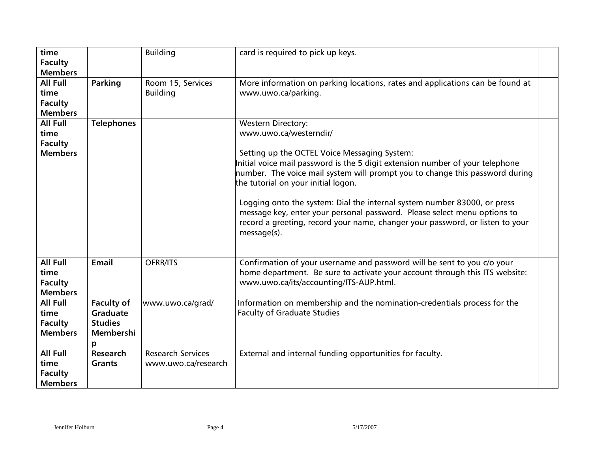| time<br><b>Faculty</b>                                      |                                                                   | <b>Building</b>                                 | card is required to pick up keys.                                                                                                                                                                                                                                                                                                                                                                                                                                                                                                                                   |
|-------------------------------------------------------------|-------------------------------------------------------------------|-------------------------------------------------|---------------------------------------------------------------------------------------------------------------------------------------------------------------------------------------------------------------------------------------------------------------------------------------------------------------------------------------------------------------------------------------------------------------------------------------------------------------------------------------------------------------------------------------------------------------------|
| <b>Members</b>                                              |                                                                   |                                                 |                                                                                                                                                                                                                                                                                                                                                                                                                                                                                                                                                                     |
| <b>All Full</b><br>time<br><b>Faculty</b><br><b>Members</b> | <b>Parking</b>                                                    | Room 15, Services<br><b>Building</b>            | More information on parking locations, rates and applications can be found at<br>www.uwo.ca/parking.                                                                                                                                                                                                                                                                                                                                                                                                                                                                |
| All Full<br>time<br><b>Faculty</b><br><b>Members</b>        | <b>Telephones</b>                                                 |                                                 | <b>Western Directory:</b><br>www.uwo.ca/westerndir/<br>Setting up the OCTEL Voice Messaging System:<br>Initial voice mail password is the 5 digit extension number of your telephone<br>number. The voice mail system will prompt you to change this password during<br>the tutorial on your initial logon.<br>Logging onto the system: Dial the internal system number 83000, or press<br>message key, enter your personal password. Please select menu options to<br>record a greeting, record your name, changer your password, or listen to your<br>message(s). |
| All Full<br>time<br><b>Faculty</b><br><b>Members</b>        | Email                                                             | OFRR/ITS                                        | Confirmation of your username and password will be sent to you c/o your<br>home department. Be sure to activate your account through this ITS website:<br>www.uwo.ca/its/accounting/ITS-AUP.html.                                                                                                                                                                                                                                                                                                                                                                   |
| All Full<br>time<br><b>Faculty</b><br><b>Members</b>        | <b>Faculty of</b><br>Graduate<br><b>Studies</b><br>Membershi<br>р | www.uwo.ca/grad/                                | Information on membership and the nomination-credentials process for the<br><b>Faculty of Graduate Studies</b>                                                                                                                                                                                                                                                                                                                                                                                                                                                      |
| All Full<br>time<br><b>Faculty</b><br><b>Members</b>        | <b>Research</b><br><b>Grants</b>                                  | <b>Research Services</b><br>www.uwo.ca/research | External and internal funding opportunities for faculty.                                                                                                                                                                                                                                                                                                                                                                                                                                                                                                            |